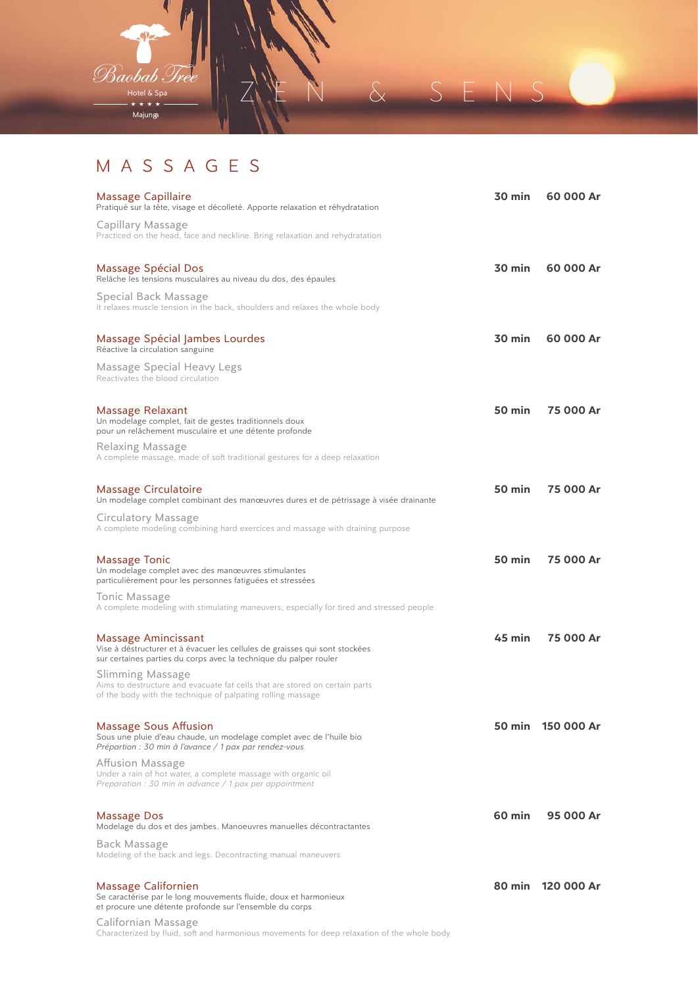

## MASSAGES

| Massage Capillaire<br>Pratiqué sur la tête, visage et décolleté. Apporte relaxation et réhydratation                                                                    | 30 min           | 60 000 Ar         |
|-------------------------------------------------------------------------------------------------------------------------------------------------------------------------|------------------|-------------------|
| Capillary Massage<br>Practiced on the head, face and neckline. Bring relaxation and rehydratation                                                                       |                  |                   |
| Massage Spécial Dos<br>Relâche les tensions musculaires au niveau du dos, des épaules                                                                                   | $30 \text{ min}$ | 60 000 Ar         |
| Special Back Massage<br>It relaxes muscle tension in the back, shoulders and relaxes the whole body                                                                     |                  |                   |
| Massage Spécial Jambes Lourdes<br>Réactive la circulation sanguine                                                                                                      | $30 \text{ min}$ | 60 000 Ar         |
| Massage Special Heavy Legs<br>Reactivates the blood circulation                                                                                                         |                  |                   |
| Massage Relaxant<br>Un modelage complet, fait de gestes traditionnels doux<br>pour un relâchement musculaire et une détente profonde                                    | 50 min           | 75 000 Ar         |
| Relaxing Massage<br>A complete massage, made of soft traditional gestures for a deep relaxation                                                                         |                  |                   |
| <b>Massage Circulatoire</b><br>Un modelage complet combinant des manœuvres dures et de pétrissage à visée drainante                                                     | 50 min           | 75 000 Ar         |
| Circulatory Massage<br>A complete modeling combining hard exercices and massage with draining purpose                                                                   |                  |                   |
| Massage Tonic<br>Un modelage complet avec des manœuvres stimulantes<br>particulièrement pour les personnes fatiguées et stressées                                       | 50 min           | 75 000 Ar         |
| Tonic Massage<br>A complete modeling with stimulating maneuvers, especially for tired and stressed people                                                               |                  |                   |
| Massage Amincissant<br>Vise à déstructurer et à évacuer les cellules de graisses qui sont stockées<br>sur certaines parties du corps avec la technique du palper rouler | $45 \text{ min}$ | 75 000 Ar         |
| Slimming Massage<br>Aims to destructure and evacuate fat cells that are stored on certain parts<br>of the body with the technique of palpating rolling massage          |                  |                   |
| <b>Massage Sous Affusion</b><br>Sous une pluie d'eau chaude, un modelage complet avec de l'huile bio<br>Prépartion : 30 min à l'avance / 1 pax par rendez-vous          |                  | 50 min 150 000 Ar |
| Affusion Massage<br>Under a rain of hot water, a complete massage with organic oil<br>Preparation : 30 min in advance $/$ 1 pax per appointment                         |                  |                   |
| Massage Dos<br>Modelage du dos et des jambes. Manoeuvres manuelles décontractantes                                                                                      | $60$ min         | 95 000 Ar         |
| <b>Back Massage</b><br>Modeling of the back and legs. Decontracting manual maneuvers                                                                                    |                  |                   |
| Massage Californien<br>Se caractérise par le long mouvements fluide, doux et harmonieux<br>et procure une détente profonde sur l'ensemble du corps                      |                  | 80 min 120 000 Ar |
| Californian Massage<br>Characterized by fluid, soft and harmonious movements for deep relaxation of the whole body                                                      |                  |                   |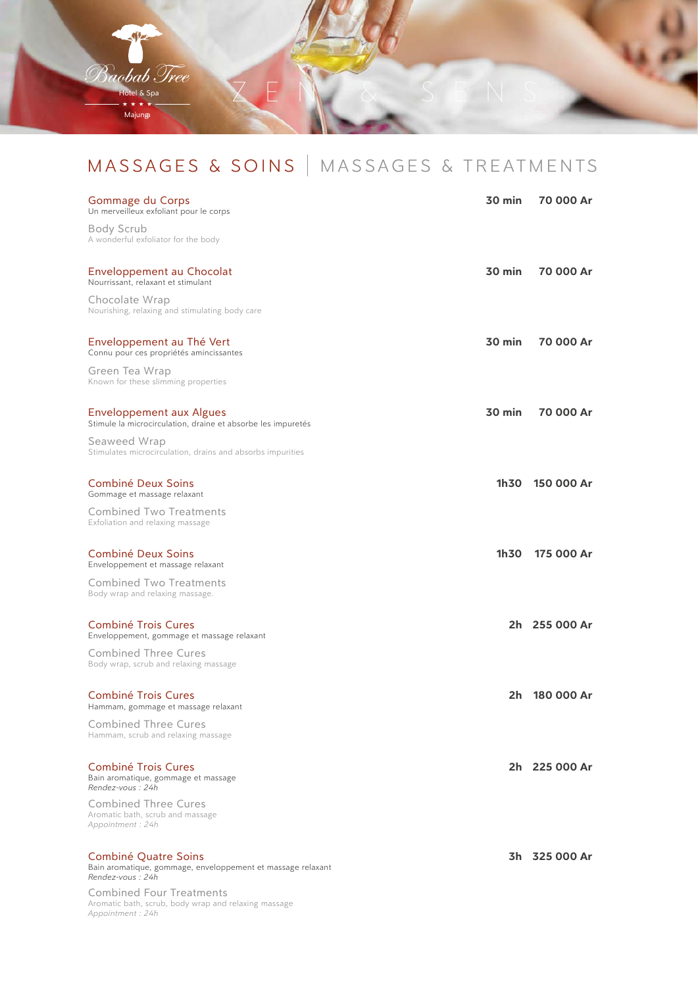

# MASSAGES & SOINS | MASSAGES & TREATMENTS

| Gommage du Corps<br>Un merveilleux exfoliant pour le corps                                                  | $30 \text{ min}$ | 70 000 Ar     |
|-------------------------------------------------------------------------------------------------------------|------------------|---------------|
| Body Scrub<br>A wonderful exfoliator for the body                                                           |                  |               |
| Enveloppement au Chocolat<br>Nourrissant, relaxant et stimulant                                             | $30$ min         | 70 000 Ar     |
| Chocolate Wrap<br>Nourishing, relaxing and stimulating body care                                            |                  |               |
| Enveloppement au Thé Vert<br>Connu pour ces propriétés amincissantes                                        | $30 \text{ min}$ | 70 000 Ar     |
| Green Tea Wrap<br>Known for these slimming properties                                                       |                  |               |
| Enveloppement aux Algues<br>Stimule la microcirculation, draine et absorbe les impuretés                    | $30 \text{ min}$ | 70 000 Ar     |
| Seaweed Wrap<br>Stimulates microcirculation, drains and absorbs impurities                                  |                  |               |
| Combiné Deux Soins<br>Gommage et massage relaxant                                                           | 1h30             | 150 000 Ar    |
| <b>Combined Two Treatments</b><br>Exfoliation and relaxing massage                                          |                  |               |
| <b>Combiné Deux Soins</b><br>Enveloppement et massage relaxant                                              | 1h30             | 175 000 Ar    |
| <b>Combined Two Treatments</b><br>Body wrap and relaxing massage.                                           |                  |               |
| <b>Combiné Trois Cures</b><br>Enveloppement, gommage et massage relaxant                                    |                  | 2h 255 000 Ar |
| <b>Combined Three Cures</b><br>Body wrap, scrub and relaxing massage                                        |                  |               |
| <b>Combiné Trois Cures</b><br>Hammam, gommage et massage relaxant                                           | 2h               | 180 000 Ar    |
| <b>Combined Three Cures</b><br>Hammam, scrub and relaxing massage                                           |                  |               |
| Combiné Trois Cures<br>Bain aromatique, gommage et massage<br>Rendez-vous: 24h                              |                  | 2h 225 000 Ar |
| Combined Three Cures<br>Aromatic bath, scrub and massage<br>Appointment: 24h                                |                  |               |
| Combiné Quatre Soins<br>Bain aromatique, gommage, enveloppement et massage relaxant<br>Rendez-vous: 24h     |                  | 3h 325 000 Ar |
| <b>Combined Four Treatments</b><br>Aromatic bath, scrub, body wrap and relaxing massage<br>Appointment: 24h |                  |               |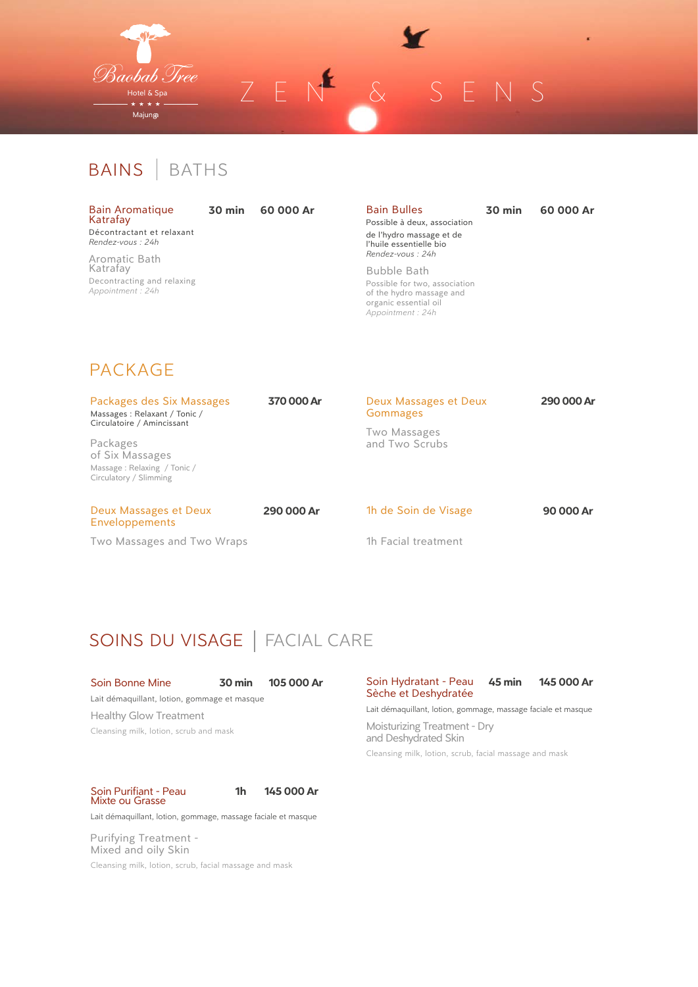

BAINS | BATHS

| <b>Bain Aromatique</b><br>Katrafay |  |  |
|------------------------------------|--|--|
| Décontractant et relaxant          |  |  |

**30 min 60 000 Ar** 

*Rendez-vous : 24h* Aromatic Bath Katrafay Decontracting and relaxing

*Appointment : 24h*

Bain Bulles Possible à deux, association **30 min 60 000 Ar** 

de l'hydro massage et de l'huile essentielle bio *Rendez-vous : 24h* Bubble Bath

Possible for two, association of the hydro massage and organic essential oil *Appointment : 24h*

### PACKAGE

| Packages des Six Massages<br>Massages: Relaxant / Tonic /<br>Circulatoire / Amincissant<br>Packages<br>of Six Massages<br>Massage: Relaxing / Tonic /<br>Circulatory / Slimming | 370 000 Ar | Deux Massages et Deux<br>Gommages | 290 000 Ar |
|---------------------------------------------------------------------------------------------------------------------------------------------------------------------------------|------------|-----------------------------------|------------|
|                                                                                                                                                                                 |            | Two Massages<br>and Two Scrubs    |            |
| Deux Massages et Deux<br><b>Enveloppements</b>                                                                                                                                  | 290 000 Ar | 1h de Soin de Visage              | 90 000 Ar  |
| Two Massages and Two Wraps                                                                                                                                                      |            | 1h Facial treatment               |            |

## SOINS DU VISAGE | FACIAL CARE

#### Soin Bonne Mine **30 min 105 000 Ar**

Lait démaquillant, lotion, gommage et masque Healthy Glow Treatment Cleansing milk, lotion, scrub and mask

Sèche et Deshydratée

Soin Hydratant - Peau **45 min 145 000 Ar** 

Lait démaquillant, lotion, gommage, massage faciale et masque

Moisturizing Treatment - Dry and Deshydrated Skin

Cleansing milk, lotion, scrub, facial massage and mask

Soin Purifiant - Peau Mixte ou Grasse



Lait démaquillant, lotion, gommage, massage faciale et masque

Purifying Treatment - Mixed and oily Skin

Cleansing milk, lotion, scrub, facial massage and mask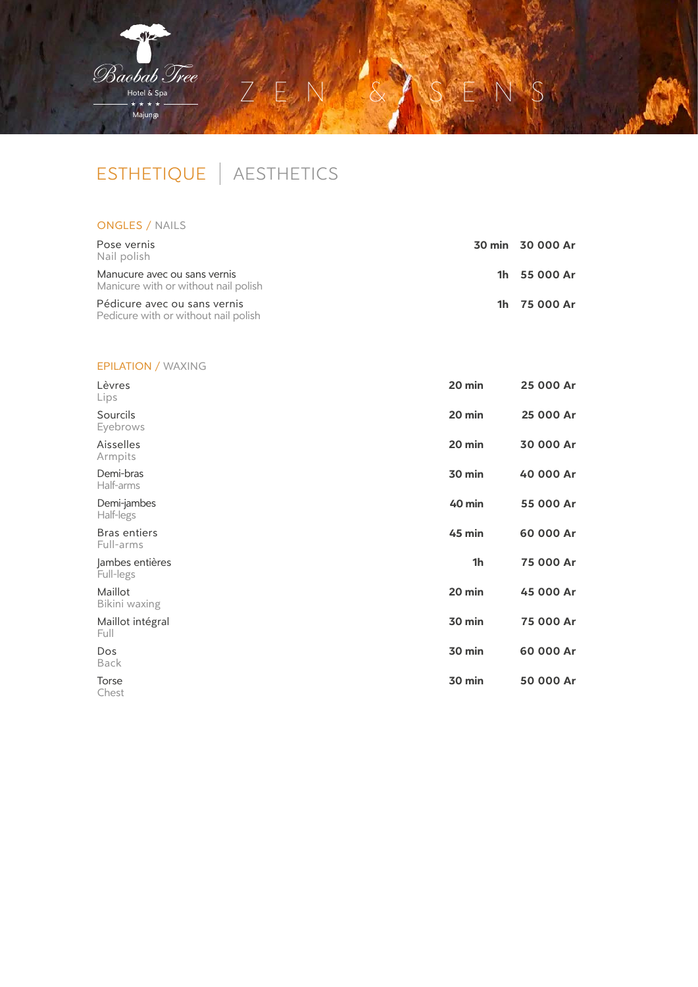

# ESTHETIQUE | AESTHETICS

### ONGLES / NAILS

| Pose vernis<br>Nail polish                                           | 30 min 30 000 Ar |
|----------------------------------------------------------------------|------------------|
| Manucure avec ou sans vernis<br>Manicure with or without nail polish | 1h 55 000 Ar     |
| Pédicure avec ou sans vernis<br>Pedicure with or without nail polish | 1h 75 000 Ar     |

### EPILATION / WAXING

| 20 min         | 25 000 Ar |
|----------------|-----------|
| 20 min         | 25 000 Ar |
| 20 min         | 30 000 Ar |
| 30 min         | 40 000 Ar |
| 40 min         | 55 000 Ar |
| 45 min         | 60 000 Ar |
| 1 <sub>h</sub> | 75 000 Ar |
| 20 min         | 45 000 Ar |
| 30 min         | 75 000 Ar |
| 30 min         | 60 000 Ar |
| 30 min         | 50 000 Ar |
|                |           |